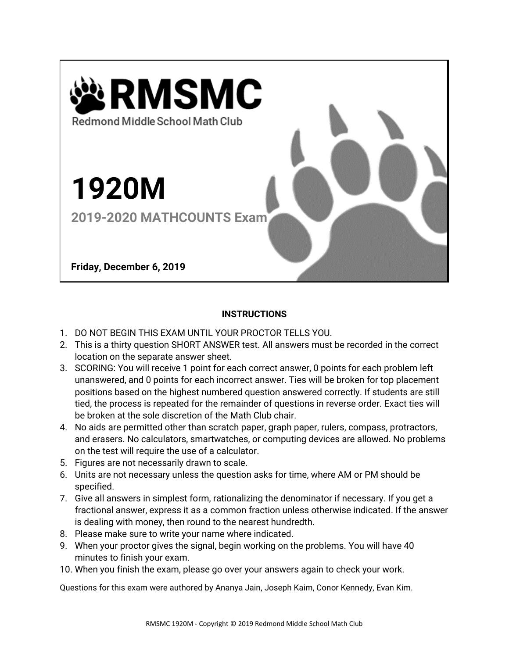

## **INSTRUCTIONS**

- 1. DO NOT BEGIN THIS EXAM UNTIL YOUR PROCTOR TELLS YOU.
- 2. This is a thirty question SHORT ANSWER test. All answers must be recorded in the correct location on the separate answer sheet.
- 3. SCORING: You will receive 1 point for each correct answer, 0 points for each problem left unanswered, and 0 points for each incorrect answer. Ties will be broken for top placement positions based on the highest numbered question answered correctly. If students are still tied, the process is repeated for the remainder of questions in reverse order. Exact ties will be broken at the sole discretion of the Math Club chair.
- 4. No aids are permitted other than scratch paper, graph paper, rulers, compass, protractors, and erasers. No calculators, smartwatches, or computing devices are allowed. No problems on the test will require the use of a calculator.
- 5. Figures are not necessarily drawn to scale.
- 6. Units are not necessary unless the question asks for time, where AM or PM should be specified.
- 7. Give all answers in simplest form, rationalizing the denominator if necessary. If you get a fractional answer, express it as a common fraction unless otherwise indicated. If the answer is dealing with money, then round to the nearest hundredth.
- 8. Please make sure to write your name where indicated.
- 9. When your proctor gives the signal, begin working on the problems. You will have 40 minutes to finish your exam.
- 10. When you finish the exam, please go over your answers again to check your work.

Questions for this exam were authored by Ananya Jain, Joseph Kaim, Conor Kennedy, Evan Kim.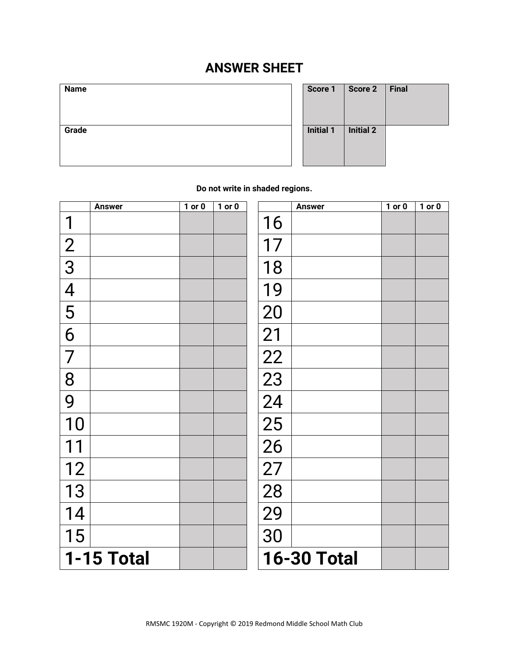## **ANSWER SHEET**

| Name  | Score 1          | Score 2          | <b>Final</b> |
|-------|------------------|------------------|--------------|
| Grade | <b>Initial 1</b> | <b>Initial 2</b> |              |

| Score 1          | Score 2          | <b>Final</b> |
|------------------|------------------|--------------|
| <b>Initial 1</b> | <b>Initial 2</b> |              |

**Do not write in shaded regions.**

|                          | <b>Answer</b> | $1$ or $0$ | $1$ or $0$ |                    | <b>Answer</b> | $1$ or $0$ | $1$ or $0$ |
|--------------------------|---------------|------------|------------|--------------------|---------------|------------|------------|
| 1                        |               |            |            | 16                 |               |            |            |
| $\frac{2}{3}$            |               |            |            | 17                 |               |            |            |
|                          |               |            |            | 18                 |               |            |            |
| $\overline{\mathcal{A}}$ |               |            |            | 19                 |               |            |            |
| 5                        |               |            |            | 20                 |               |            |            |
| 6                        |               |            |            | 21                 |               |            |            |
| $\overline{7}$           |               |            |            | 22                 |               |            |            |
| 8                        |               |            |            | 23                 |               |            |            |
| 9                        |               |            |            | 24                 |               |            |            |
| 10                       |               |            |            | 25                 |               |            |            |
|                          |               |            |            | 26                 |               |            |            |
| 12                       |               |            |            | 27                 |               |            |            |
| 13                       |               |            |            | 28                 |               |            |            |
| 14                       |               |            |            | 29                 |               |            |            |
| 15                       |               |            |            | 30                 |               |            |            |
|                          | 1-15 Total    |            |            | <b>16-30 Total</b> |               |            |            |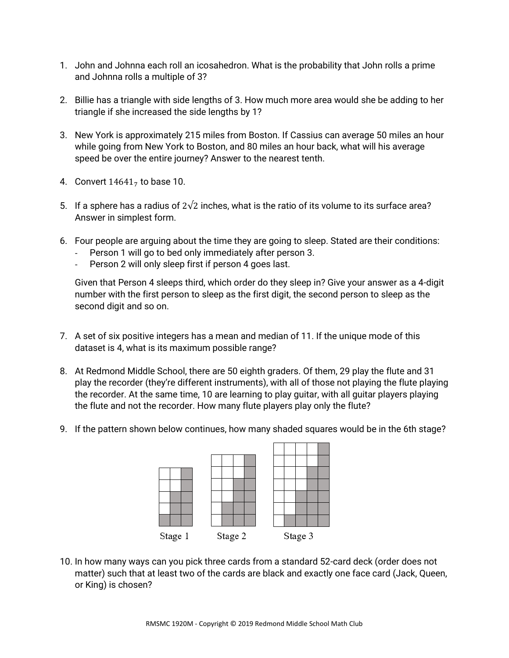- 1. John and Johnna each roll an icosahedron. What is the probability that John rolls a prime and Johnna rolls a multiple of 3?
- 2. Billie has a triangle with side lengths of 3. How much more area would she be adding to her triangle if she increased the side lengths by 1?
- 3. New York is approximately 215 miles from Boston. If Cassius can average 50 miles an hour while going from New York to Boston, and 80 miles an hour back, what will his average speed be over the entire journey? Answer to the nearest tenth.
- 4. Convert  $14641<sub>7</sub>$  to base 10.
- 5. If a sphere has a radius of  $2\sqrt{2}$  inches, what is the ratio of its volume to its surface area? Answer in simplest form.
- 6. Four people are arguing about the time they are going to sleep. Stated are their conditions:
	- Person 1 will go to bed only immediately after person 3.
	- Person 2 will only sleep first if person 4 goes last.

Given that Person 4 sleeps third, which order do they sleep in? Give your answer as a 4-digit number with the first person to sleep as the first digit, the second person to sleep as the second digit and so on.

- 7. A set of six positive integers has a mean and median of 11. If the unique mode of this dataset is 4, what is its maximum possible range?
- 8. At Redmond Middle School, there are 50 eighth graders. Of them, 29 play the flute and 31 play the recorder (they're different instruments), with all of those not playing the flute playing the recorder. At the same time, 10 are learning to play guitar, with all guitar players playing the flute and not the recorder. How many flute players play only the flute?
- 9. If the pattern shown below continues, how many shaded squares would be in the 6th stage?



10. In how many ways can you pick three cards from a standard 52-card deck (order does not matter) such that at least two of the cards are black and exactly one face card (Jack, Queen, or King) is chosen?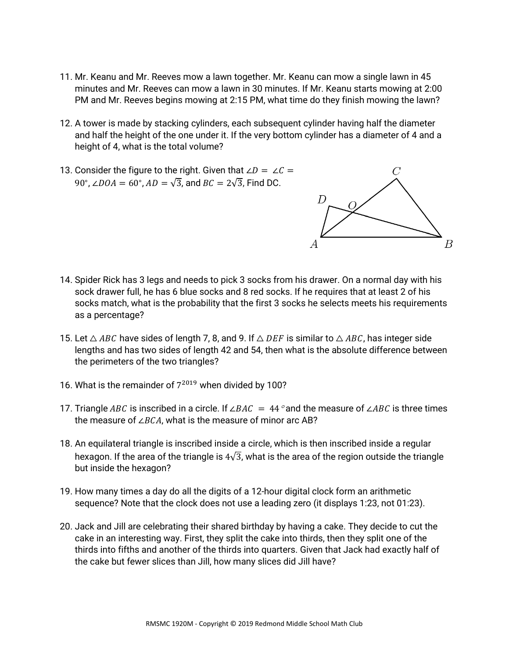- 11. Mr. Keanu and Mr. Reeves mow a lawn together. Mr. Keanu can mow a single lawn in 45 minutes and Mr. Reeves can mow a lawn in 30 minutes. If Mr. Keanu starts mowing at 2:00 PM and Mr. Reeves begins mowing at 2:15 PM, what time do they finish mowing the lawn?
- 12. A tower is made by stacking cylinders, each subsequent cylinder having half the diameter and half the height of the one under it. If the very bottom cylinder has a diameter of 4 and a height of 4, what is the total volume?
- 13. Consider the figure to the right. Given that  $\angle D = \angle C =$ 90°, ∠*DOA* = 60°, *AD* =  $\sqrt{3}$ , and *BC* = 2 $\sqrt{3}$ , Find DC.



- 14. Spider Rick has 3 legs and needs to pick 3 socks from his drawer. On a normal day with his sock drawer full, he has 6 blue socks and 8 red socks. If he requires that at least 2 of his socks match, what is the probability that the first 3 socks he selects meets his requirements as a percentage?
- 15. Let  $\triangle$  ABC have sides of length 7, 8, and 9. If  $\triangle$  DEF is similar to  $\triangle$  ABC, has integer side lengths and has two sides of length 42 and 54, then what is the absolute difference between the perimeters of the two triangles?
- 16. What is the remainder of  $7^{2019}$  when divided by 100?
- 17. Triangle ABC is inscribed in a circle. If ∠BAC = 44 ° and the measure of ∠ABC is three times the measure of  $∠BCA$ , what is the measure of minor arc AB?
- 18. An equilateral triangle is inscribed inside a circle, which is then inscribed inside a regular hexagon. If the area of the triangle is  $4\sqrt{3}$ , what is the area of the region outside the triangle but inside the hexagon?
- 19. How many times a day do all the digits of a 12-hour digital clock form an arithmetic sequence? Note that the clock does not use a leading zero (it displays 1:23, not 01:23).
- 20. Jack and Jill are celebrating their shared birthday by having a cake. They decide to cut the cake in an interesting way. First, they split the cake into thirds, then they split one of the thirds into fifths and another of the thirds into quarters. Given that Jack had exactly half of the cake but fewer slices than Jill, how many slices did Jill have?